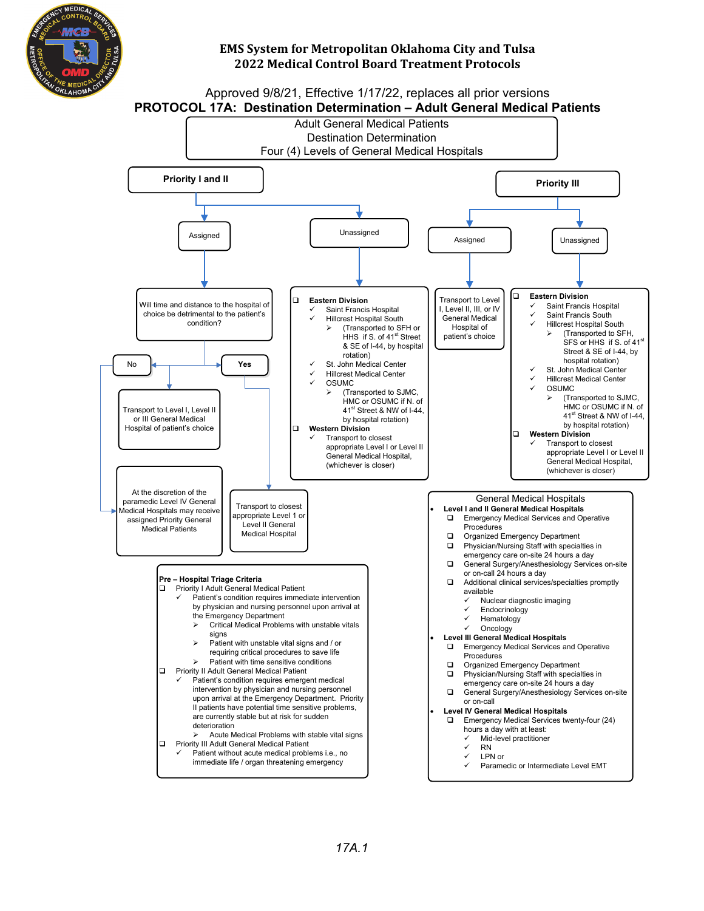

Approved 9/8/21, Effective 1/17/22, replaces all prior versions **PROTOCOL 17A: Destination Determination – Adult General Medical Patients**

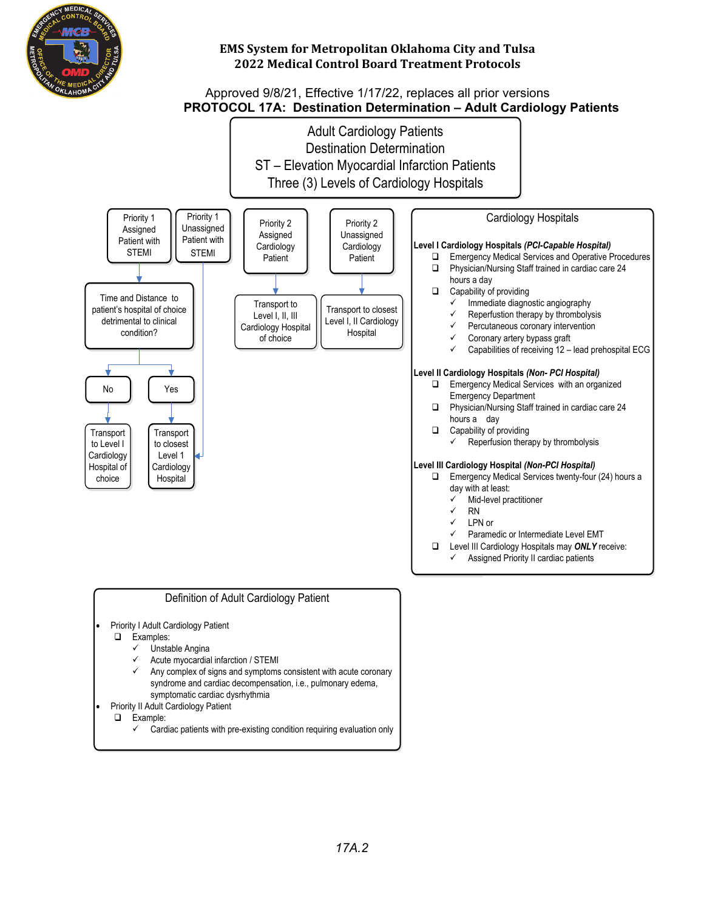

## Approved 9/8/21, Effective 1/17/22, replaces all prior versions  **PROTOCOL 17A:****Destination Determination – Adult Cardiology Patients**



- symptomatic cardiac dysrhythmia
- Priority II Adult Cardiology Patient
	- **Q** Example:
		- $\checkmark$  Cardiac patients with pre-existing condition requiring evaluation only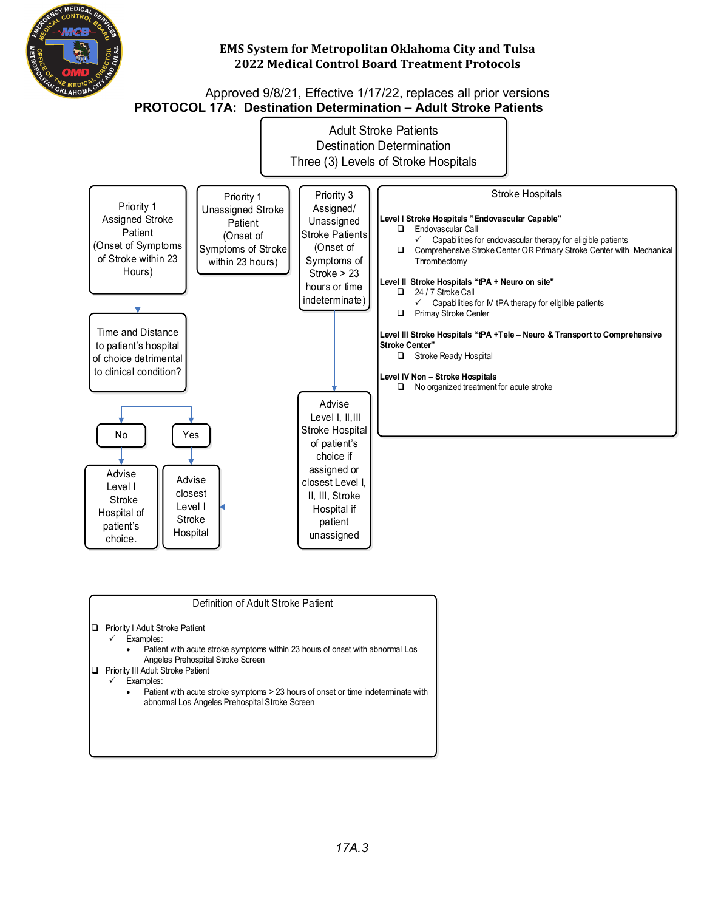

#### Approved 9/8/21, Effective 1/17/22, replaces all prior versions **PROTOCOL 17A: Destination Determination – Adult Stroke Patients**



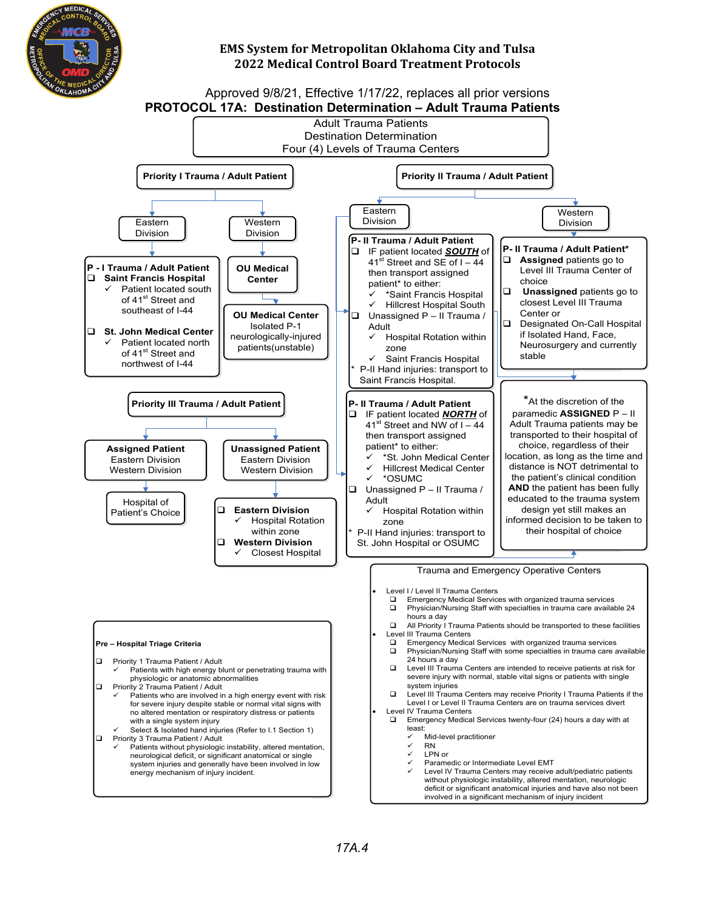

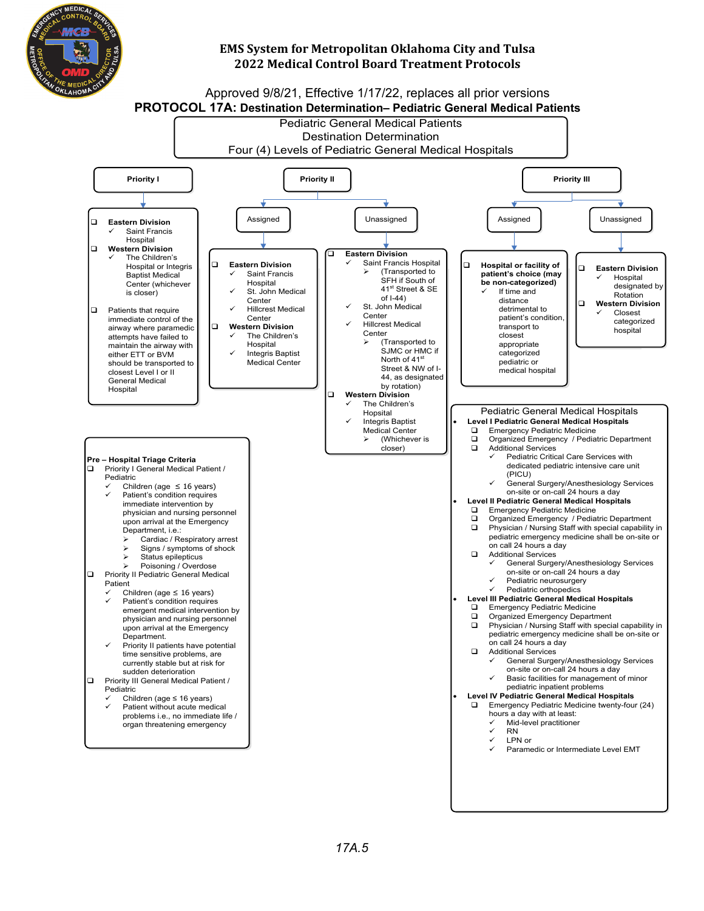

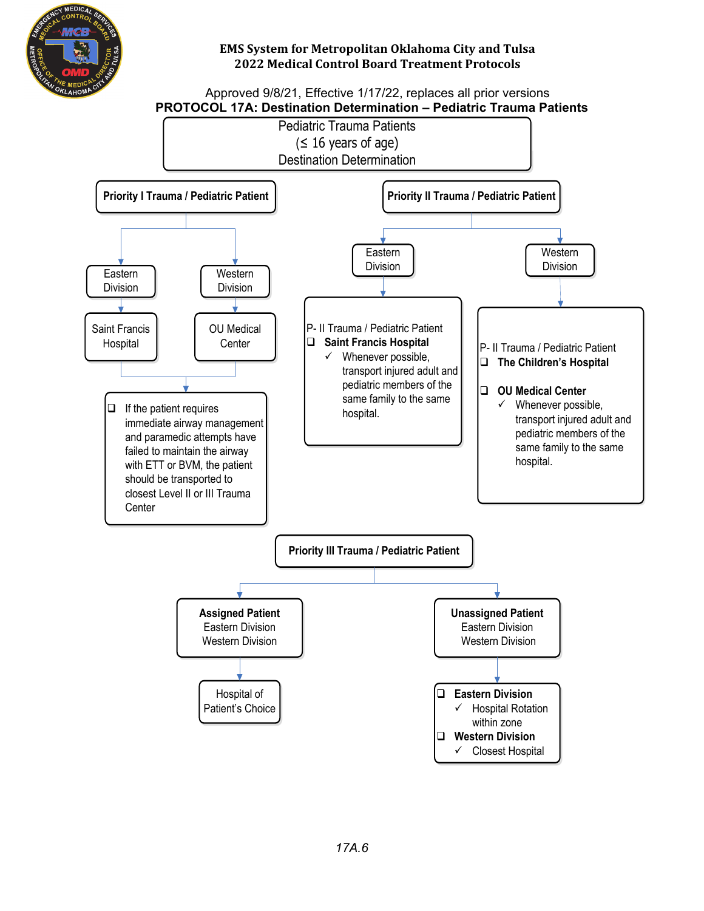

#### Approved 9/8/21, Effective 1/17/22, replaces all prior versions  **PROTOCOL 17A: Destination Determination – Pediatric Trauma Patients**

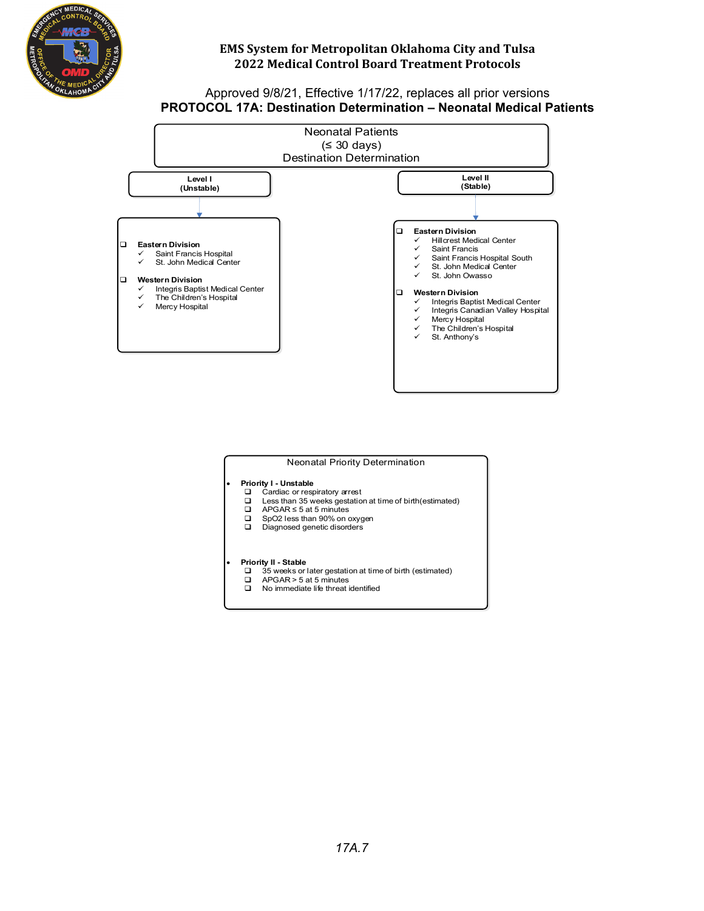

#### Approved 9/8/21, Effective 1/17/22, replaces all prior versions **PROTOCOL 17A: Destination Determination – Neonatal Medical Patients**



#### Neonatal Priority Determination

## **Priority I - Unstable**<br> **Q** Cardiac or resp

- $\Box$  Cardiac or respiratory arrest<br> $\Box$  Less than 35 weeks gestation
- □ Less than 35 weeks gestation at time of birth(estimated)<br>□ APGAR ≤ 5 at 5 minutes
- APGAR ≤ 5 at 5 minutes<br>SpO2 less than 90% on oxygen
- q SpO2 less than 90% on oxygen q Diagnosed genetic disorders

# **Priority II - Stable**<br> **a** 35 weeks or

- $\Box$  35 weeks or later gestation at time of birth (estimated)<br> $\Box$  APGAR > 5 at 5 minutes
- APGAR > 5 at 5 minutes
- $\Box$  No immediate life threat identified